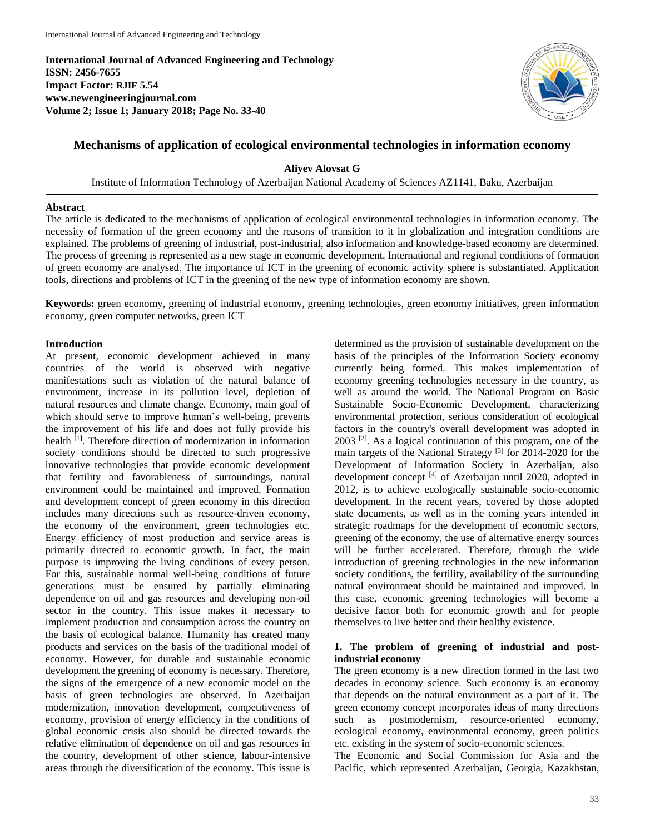**International Journal of Advanced Engineering and Technology ISSN: 2456-7655 Impact Factor: RJIF 5.54 www.newengineeringjournal.com Volume 2; Issue 1; January 2018; Page No. 33-40**



# **Mechanisms of application of ecological environmental technologies in information economy**

**Aliyev Alovsat G**

Institute of Information Technology of Azerbaijan National Academy of Sciences AZ1141, Baku, Azerbaijan

#### **Abstract**

The article is dedicated to the mechanisms of application of ecological environmental technologies in information economy. The necessity of formation of the green economy and the reasons of transition to it in globalization and integration conditions are explained. The problems of greening of industrial, post-industrial, also information and knowledge-based economy are determined. The process of greening is represented as a new stage in economic development. International and regional conditions of formation of green economy are analysed. The importance of ICT in the greening of economic activity sphere is substantiated. Application tools, directions and problems of ICT in the greening of the new type of information economy are shown.

**Keywords:** green economy, greening of industrial economy, greening technologies, green economy initiatives, green information economy, green computer networks, green ICT

#### **Introduction**

At present, economic development achieved in many countries of the world is observed with negative manifestations such as violation of the natural balance of environment, increase in its pollution level, depletion of natural resources and climate change. Economy, main goal of which should serve to improve human's well-being, prevents the improvement of his life and does not fully provide his health <sup>[1]</sup>. Therefore direction of modernization in information society conditions should be directed to such progressive innovative technologies that provide economic development that fertility and favorableness of surroundings, natural environment could be maintained and improved. Formation and development concept of green economy in this direction includes many directions such as resource-driven economy, the economy of the environment, green technologies etc. Energy efficiency of most production and service areas is primarily directed to economic growth. In fact, the main purpose is improving the living conditions of every person. For this, sustainable normal well-being conditions of future generations must be ensured by partially eliminating dependence on oil and gas resources and developing non-oil sector in the country. This issue makes it necessary to implement production and consumption across the country on the basis of ecological balance. Humanity has created many products and services on the basis of the traditional model of economy. However, for durable and sustainable economic development the greening of economy is necessary. Therefore, the signs of the emergence of a new economic model on the basis of green technologies are observed. In Azerbaijan modernization, innovation development, competitiveness of economy, provision of energy efficiency in the conditions of global economic crisis also should be directed towards the relative elimination of dependence on oil and gas resources in the country, development of other science, labour-intensive areas through the diversification of the economy. This issue is determined as the provision of sustainable development on the basis of the principles of the Information Society economy currently being formed. This makes implementation of economy greening technologies necessary in the country, as well as around the world. The National Program on Basic Sustainable Socio-Economic Development, characterizing environmental protection, serious consideration of ecological factors in the country's overall development was adopted in 2003 [2]. As a logical continuation of this program, one of the main targets of the National Strategy [3] for 2014-2020 for the Development of Information Society in Azerbaijan, also development concept <sup>[4]</sup> of Azerbaijan until 2020, adopted in 2012, is to achieve ecologically sustainable socio-economic development. In the recent years, covered by those adopted state documents, as well as in the coming years intended in strategic roadmaps for the development of economic sectors, greening of the economy, the use of alternative energy sources will be further accelerated. Therefore, through the wide introduction of greening technologies in the new information society conditions, the fertility, availability of the surrounding natural environment should be maintained and improved. In this case, economic greening technologies will become a decisive factor both for economic growth and for people themselves to live better and their healthy existence.

## **1. The problem of greening of industrial and postindustrial economy**

The green economy is a new direction formed in the last two decades in economy science. Such economy is an economy that depends on the natural environment as a part of it. The green economy concept incorporates ideas of many directions such as postmodernism, resource-oriented economy, ecological economy, environmental economy, green politics etc. existing in the system of socio-economic sciences.

The Economic and Social Commission for Asia and the Pacific, which represented Azerbaijan, Georgia, Kazakhstan,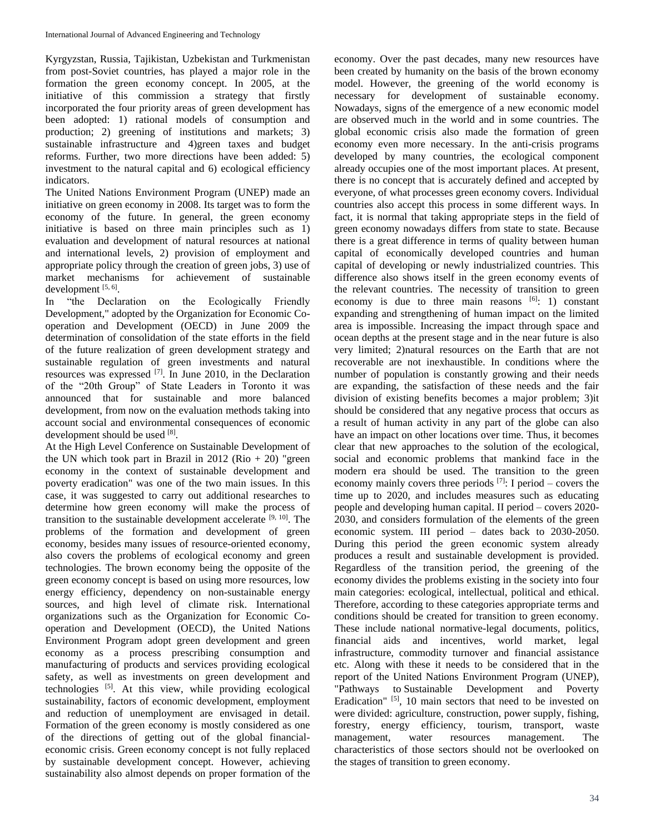Kyrgyzstan, Russia, Tajikistan, Uzbekistan and Turkmenistan from post-Soviet countries, has played a major role in the formation the green economy concept. In 2005, at the initiative of this commission a strategy that firstly incorporated the four priority areas of green development has been adopted: 1) rational models of consumption and production; 2) greening of institutions and markets; 3) sustainable infrastructure and 4)green taxes and budget reforms. Further, two more directions have been added: 5) investment to the natural capital and 6) ecological efficiency indicators.

The United Nations Environment Program (UNEP) made an initiative on green economy in 2008. Its target was to form the economy of the future. In general, the green economy initiative is based on three main principles such as 1) evaluation and development of natural resources at national and international levels, 2) provision of employment and appropriate policy through the creation of green jobs, 3) use of market mechanisms for achievement of sustainable development [5, 6].

In "the Declaration on the Ecologically Friendly Development," adopted by the Organization for Economic Cooperation and Development (OECD) in June 2009 the determination of consolidation of the state efforts in the field of the future realization of green development strategy and sustainable regulation of green investments and natural resources was expressed [7]. In June 2010, in the Declaration of the "20th Group" of State Leaders in Toronto it was announced that for sustainable and more balanced development, from now on the evaluation methods taking into account social and environmental consequences of economic development should be used [8].

At the High Level Conference on Sustainable Development of the UN which took part in Brazil in 2012 (Rio  $+20$ ) "green economy in the context of sustainable development and poverty eradication" was one of the two main issues. In this case, it was suggested to carry out additional researches to determine how green economy will make the process of transition to the sustainable development accelerate  $[9, 10]$ . The problems of the formation and development of green economy, besides many issues of resource-oriented economy, also covers the problems of ecological economy and green technologies. The brown economy being the opposite of the green economy concept is based on using more resources, low energy efficiency, dependency on non-sustainable energy sources, and high level of climate risk. International organizations such as the Organization for Economic Cooperation and Development (OECD), the United Nations Environment Program adopt green development and green economy as a process prescribing consumption and manufacturing of products and services providing ecological safety, as well as investments on green development and technologies [5]. At this view, while providing ecological sustainability, factors of economic development, employment and reduction of unemployment are envisaged in detail. Formation of the green economy is mostly considered as one of the directions of getting out of the global financialeconomic crisis. Green economy concept is not fully replaced by sustainable development concept. However, achieving sustainability also almost depends on proper formation of the

economy. Over the past decades, many new resources have been created by humanity on the basis of the brown economy model. However, the greening of the world economy is necessary for development of sustainable economy. Nowadays, signs of the emergence of a new economic model are observed much in the world and in some countries. The global economic crisis also made the formation of green economy even more necessary. In the anti-crisis programs developed by many countries, the ecological component already occupies one of the most important places. At present, there is no concept that is accurately defined and accepted by everyone, of what processes green economy covers. Individual countries also accept this process in some different ways. In fact, it is normal that taking appropriate steps in the field of green economy nowadays differs from state to state. Because there is a great difference in terms of quality between human capital of economically developed countries and human capital of developing or newly industrialized countries. This difference also shows itself in the green economy events of the relevant countries. The necessity of transition to green economy is due to three main reasons  $[6]$ : 1) constant expanding and strengthening of human impact on the limited area is impossible. Increasing the impact through space and ocean depths at the present stage and in the near future is also very limited; 2)natural resources on the Earth that are not recoverable are not inexhaustible. In conditions where the number of population is constantly growing and their needs are expanding, the satisfaction of these needs and the fair division of existing benefits becomes a major problem; 3)it should be considered that any negative process that occurs as a result of human activity in any part of the globe can also have an impact on other locations over time. Thus, it becomes clear that new approaches to the solution of the ecological, social and economic problems that mankind face in the modern era should be used. The transition to the green economy mainly covers three periods  $[7]$ : I period – covers the time up to 2020, and includes measures such as educating people and developing human capital. II period – covers 2020- 2030, and considers formulation of the elements of the green economic system. III period – dates back to 2030-2050. During this period the green economic system already produces a result and sustainable development is provided. Regardless of the transition period, the greening of the economy divides the problems existing in the society into four main categories: ecological, intellectual, political and ethical. Therefore, according to these categories appropriate terms and conditions should be created for transition to green economy. These include national normative-legal documents, politics, financial aids and incentives, world market, legal infrastructure, commodity turnover and financial assistance etc. Along with these it needs to be considered that in the report of the United Nations Environment Program (UNEP), "Pathways to Sustainable Development and Poverty Eradication" <sup>[5]</sup>, 10 main sectors that need to be invested on were divided: agriculture, construction, power supply, fishing, forestry, energy efficiency, tourism, transport, waste management, water resources management. The characteristics of those sectors should not be overlooked on the stages of transition to green economy.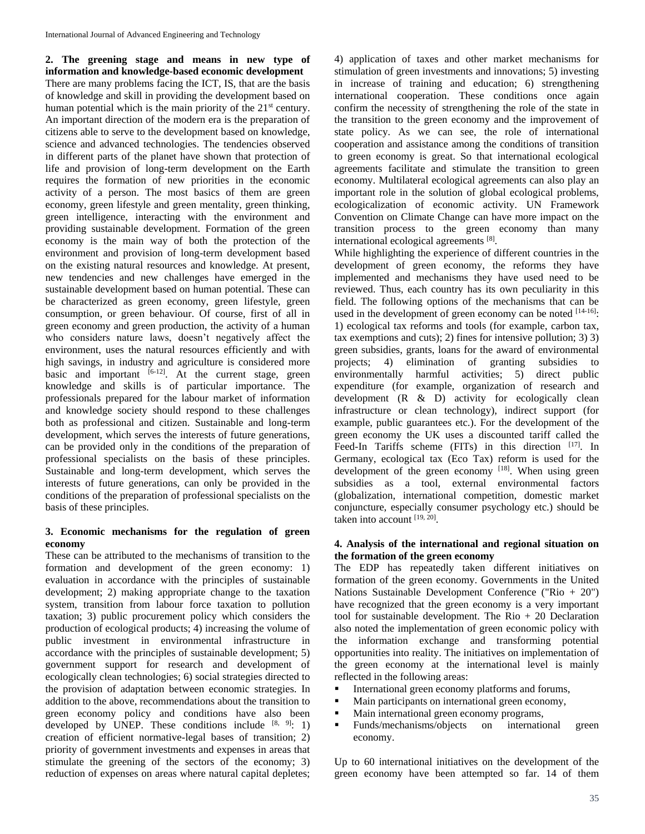**2. The greening stage and means in new type of information and knowledge-based economic development** There are many problems facing the ICT, IS, that are the basis of knowledge and skill in providing the development based on human potential which is the main priority of the  $21<sup>st</sup>$  century. An important direction of the modern era is the preparation of citizens able to serve to the development based on knowledge, science and advanced technologies. The tendencies observed in different parts of the planet have shown that protection of life and provision of long-term development on the Earth requires the formation of new priorities in the economic activity of a person. The most basics of them are green economy, green lifestyle and green mentality, green thinking, green intelligence, interacting with the environment and providing sustainable development. Formation of the green economy is the main way of both the protection of the environment and provision of long-term development based on the existing natural resources and knowledge. At present, new tendencies and new challenges have emerged in the sustainable development based on human potential. These can be characterized as green economy, green lifestyle, green consumption, or green behaviour. Of course, first of all in green economy and green production, the activity of a human who considers nature laws, doesn't negatively affect the environment, uses the natural resources efficiently and with high savings, in industry and agriculture is considered more basic and important  $[6-12]$ . At the current stage, green knowledge and skills is of particular importance. The professionals prepared for the labour market of information and knowledge society should respond to these challenges both as professional and citizen. Sustainable and long-term development, which serves the interests of future generations, can be provided only in the conditions of the preparation of professional specialists on the basis of these principles. Sustainable and long-term development, which serves the interests of future generations, can only be provided in the conditions of the preparation of professional specialists on the basis of these principles.

## **3. Economic mechanisms for the regulation of green economy**

These can be attributed to the mechanisms of transition to the formation and development of the green economy: 1) evaluation in accordance with the principles of sustainable development; 2) making appropriate change to the taxation system, transition from labour force taxation to pollution taxation; 3) public procurement policy which considers the production of ecological products; 4) increasing the volume of public investment in environmental infrastructure in accordance with the principles of sustainable development; 5) government support for research and development of ecologically clean technologies; 6) social strategies directed to the provision of adaptation between economic strategies. In addition to the above, recommendations about the transition to green economy policy and conditions have also been developed by UNEP. These conditions include  $[8, 9]$ : 1) creation of efficient normative-legal bases of transition; 2) priority of government investments and expenses in areas that stimulate the greening of the sectors of the economy; 3) reduction of expenses on areas where natural capital depletes;

4) application of taxes and other market mechanisms for stimulation of green investments and innovations; 5) investing in increase of training and education; 6) strengthening international cooperation. These conditions once again confirm the necessity of strengthening the role of the state in the transition to the green economy and the improvement of state policy. As we can see, the role of international cooperation and assistance among the conditions of transition to green economy is great. So that international ecological agreements facilitate and stimulate the transition to green economy. Multilateral ecological agreements can also play an important role in the solution of global ecological problems, ecologicalization of economic activity. UN Framework Convention on Climate Change can have more impact on the transition process to the green economy than many international ecological agreements [8].

While highlighting the experience of different countries in the development of green economy, the reforms they have implemented and mechanisms they have used need to be reviewed. Thus, each country has its own peculiarity in this field. The following options of the mechanisms that can be used in the development of green economy can be noted  $[14-16]$ : 1) ecological tax reforms and tools (for example, carbon tax, tax exemptions and cuts); 2) fines for intensive pollution; 3) 3) green subsidies, grants, loans for the award of environmental projects; 4) elimination of granting subsidies to environmentally harmful activities; 5) direct public expenditure (for example, organization of research and development (R & D) activity for ecologically clean infrastructure or clean technology), indirect support (for example, public guarantees etc.). For the development of the green economy the UK uses a discounted tariff called the Feed-In Tariffs scheme (FITs) in this direction [17]. In Germany, ecological tax (Eco Tax) reform is used for the development of the green economy [18]. When using green subsidies as a tool, external environmental factors (globalization, international competition, domestic market conjuncture, especially consumer psychology etc.) should be taken into account [19, 20] .

#### **4. Analysis of the international and regional situation on the formation of the green economy**

The EDP has repeatedly taken different initiatives on formation of the green economy. Governments in the United Nations Sustainable Development Conference ("Rio + 20") have recognized that the green economy is a very important tool for sustainable development. The  $R$ io + 20 Declaration also noted the implementation of green economic policy with the information exchange and transforming potential opportunities into reality. The initiatives on implementation of the green economy at the international level is mainly reflected in the following areas:

- International green economy platforms and forums,
- Main participants on international green economy,
- Main international green economy programs,
- **Funds/mechanisms/objects** on international green economy.

Up to 60 international initiatives on the development of the green economy have been attempted so far. 14 of them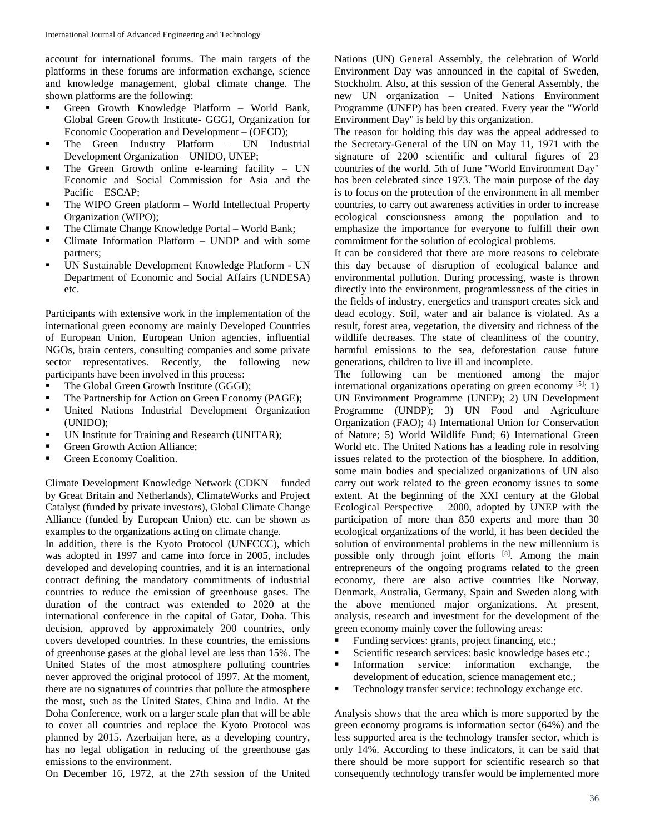account for international forums. The main targets of the platforms in these forums are information exchange, science and knowledge management, global climate change. The shown platforms are the following:

- Green Growth Knowledge Platform World Bank, Global Green Growth Institute- GGGI, Organization for Economic Cooperation and Development – (OECD);
- The Green Industry Platform UN Industrial Development Organization – UNIDO, UNEP;
- The Green Growth online e-learning facility UN Economic and Social Commission for Asia and the Pacific – ESCAP;
- The WIPO Green platform World Intellectual Property Organization (WIPO);
- The Climate Change Knowledge Portal World Bank;
- Climate Information Platform UNDP and with some partners;
- UN Sustainable Development Knowledge Platform UN Department of Economic and Social Affairs (UNDESA) etc.

Participants with extensive work in the implementation of the international green economy are mainly Developed Countries of European Union, European Union agencies, influential NGOs, brain centers, consulting companies and some private sector representatives. Recently, the following new participants have been involved in this process:

- The Global Green Growth Institute (GGGI);
- The Partnership for Action on Green Economy (PAGE);
- United Nations Industrial Development Organization (UNIDO);
- UN Institute for Training and Research (UNITAR);
- Green Growth Action Alliance;
- Green Economy Coalition.

Climate Development Knowledge Network (CDKN – funded by Great Britain and Netherlands), ClimateWorks and Project Catalyst (funded by private investors), Global Climate Change Alliance (funded by European Union) etc. can be shown as examples to the organizations acting on climate change.

In addition, there is the Kyoto Protocol (UNFCCC), which was adopted in 1997 and came into force in 2005, includes developed and developing countries, and it is an international contract defining the mandatory commitments of industrial countries to reduce the emission of greenhouse gases. The duration of the contract was extended to 2020 at the international conference in the capital of Gatar, Doha. This decision, approved by approximately 200 countries, only covers developed countries. In these countries, the emissions of greenhouse gases at the global level are less than 15%. The United States of the most atmosphere polluting countries never approved the original protocol of 1997. At the moment, there are no signatures of countries that pollute the atmosphere the most, such as the United States, China and India. At the Doha Conference, work on a larger scale plan that will be able to cover all countries and replace the Kyoto Protocol was planned by 2015. Azerbaijan here, as a developing country, has no legal obligation in reducing of the greenhouse gas emissions to the environment.

On December 16, 1972, at the 27th session of the United

Nations (UN) General Assembly, the celebration of World Environment Day was announced in the capital of Sweden, Stockholm. Also, at this session of the General Assembly, the new UN organization – United Nations Environment Programme (UNEP) has been created. Every year the "World Environment Day" is held by this organization.

The reason for holding this day was the appeal addressed to the Secretary-General of the UN on May 11, 1971 with the signature of 2200 scientific and cultural figures of 23 countries of the world. 5th of June "World Environment Day" has been celebrated since 1973. The main purpose of the day is to focus on the protection of the environment in all member countries, to carry out awareness activities in order to increase ecological consciousness among the population and to emphasize the importance for everyone to fulfill their own commitment for the solution of ecological problems.

It can be considered that there are more reasons to celebrate this day because of disruption of ecological balance and environmental pollution. During processing, waste is thrown directly into the environment, programlessness of the cities in the fields of industry, energetics and transport creates sick and dead ecology. Soil, water and air balance is violated. As a result, forest area, vegetation, the diversity and richness of the wildlife decreases. The state of cleanliness of the country, harmful emissions to the sea, deforestation cause future generations, children to live ill and incomplete.

The following can be mentioned among the major international organizations operating on green economy  $[5]$ : 1) UN Environment Programme (UNEP); 2) UN Development Programme (UNDP); 3) UN Food and Agriculture Organization (FAO); 4) International Union for Conservation of Nature; 5) World Wildlife Fund; 6) International Green World etc. The United Nations has a leading role in resolving issues related to the protection of the biosphere. In addition, some main bodies and specialized organizations of UN also carry out work related to the green economy issues to some extent. At the beginning of the XXI century at the Global Ecological Perspective – 2000, adopted by UNEP with the participation of more than 850 experts and more than 30 ecological organizations of the world, it has been decided the solution of environmental problems in the new millennium is possible only through joint efforts [8]. Among the main entrepreneurs of the ongoing programs related to the green economy, there are also active countries like Norway, Denmark, Australia, Germany, Spain and Sweden along with the above mentioned major organizations. At present, analysis, research and investment for the development of the green economy mainly cover the following areas:

- Funding services: grants, project financing, etc.;
- Scientific research services: basic knowledge bases etc.;
- Information service: information exchange, the development of education, science management etc.;
- Technology transfer service: technology exchange etc.

Analysis shows that the area which is more supported by the green economy programs is information sector (64%) and the less supported area is the technology transfer sector, which is only 14%. According to these indicators, it can be said that there should be more support for scientific research so that consequently technology transfer would be implemented more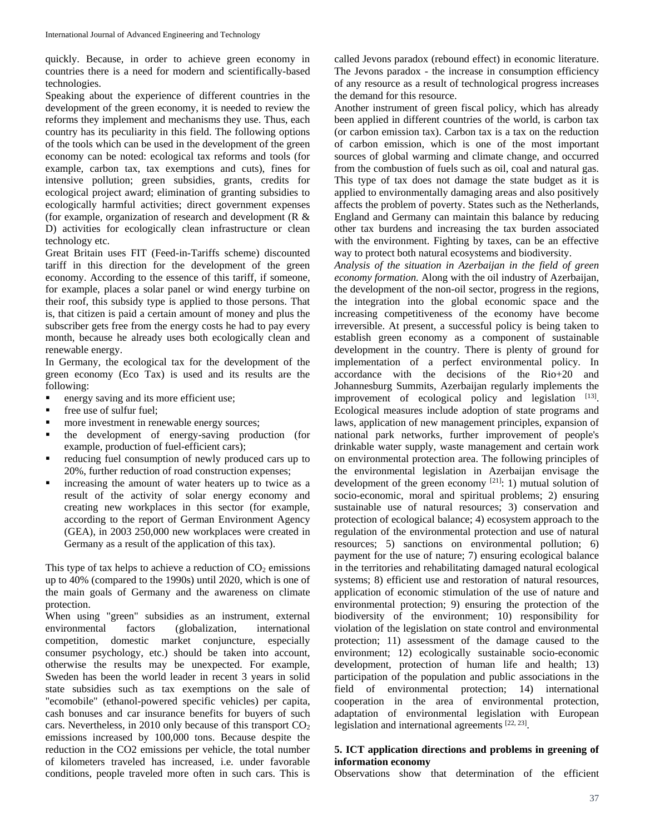quickly. Because, in order to achieve green economy in countries there is a need for modern and scientifically-based technologies.

Speaking about the experience of different countries in the development of the green economy, it is needed to review the reforms they implement and mechanisms they use. Thus, each country has its peculiarity in this field. The following options of the tools which can be used in the development of the green economy can be noted: ecological tax reforms and tools (for example, carbon tax, tax exemptions and cuts), fines for intensive pollution; green subsidies, grants, credits for ecological project award; elimination of granting subsidies to ecologically harmful activities; direct government expenses (for example, organization of research and development (R & D) activities for ecologically clean infrastructure or clean technology etc.

Great Britain uses FIT (Feed-in-Tariffs scheme) discounted tariff in this direction for the development of the green economy. According to the essence of this tariff, if someone, for example, places a solar panel or wind energy turbine on their roof, this subsidy type is applied to those persons. That is, that citizen is paid a certain amount of money and plus the subscriber gets free from the energy costs he had to pay every month, because he already uses both ecologically clean and renewable energy.

In Germany, the ecological tax for the development of the green economy (Eco Tax) is used and its results are the following:

- **energy saving and its more efficient use;**
- **free use of sulfur fuel;**
- **n** more investment in renewable energy sources;
- the development of energy-saving production (for example, production of fuel-efficient cars);
- reducing fuel consumption of newly produced cars up to 20%, further reduction of road construction expenses;
- increasing the amount of water heaters up to twice as a result of the activity of solar energy economy and creating new workplaces in this sector (for example, according to the report of German Environment Agency (GEA), in 2003 250,000 new workplaces were created in Germany as a result of the application of this tax).

This type of tax helps to achieve a reduction of  $CO<sub>2</sub>$  emissions up to 40% (compared to the 1990s) until 2020, which is one of the main goals of Germany and the awareness on climate protection.

When using "green" subsidies as an instrument, external environmental factors (globalization, international competition, domestic market conjuncture, especially consumer psychology, etc.) should be taken into account, otherwise the results may be unexpected. For example, Sweden has been the world leader in recent 3 years in solid state subsidies such as tax exemptions on the sale of "ecomobile" (ethanol-powered specific vehicles) per capita, cash bonuses and car insurance benefits for buyers of such cars. Nevertheless, in 2010 only because of this transport  $CO<sub>2</sub>$ emissions increased by 100,000 tons. Because despite the reduction in the CO2 emissions per vehicle, the total number of kilometers traveled has increased, i.e. under favorable conditions, people traveled more often in such cars. This is called Jevons paradox (rebound effect) in economic literature. The Jevons paradox - the increase in consumption efficiency of any resource as a result of technological progress increases the demand for this resource.

Another instrument of green fiscal policy, which has already been applied in different countries of the world, is carbon tax (or carbon emission tax). Carbon tax is a tax on the reduction of carbon emission, which is one of the most important sources of global warming and climate change, and occurred from the combustion of fuels such as oil, coal and natural gas. This type of tax does not damage the state budget as it is applied to environmentally damaging areas and also positively affects the problem of poverty. States such as the Netherlands, England and Germany can maintain this balance by reducing other tax burdens and increasing the tax burden associated with the environment. Fighting by taxes, can be an effective way to protect both natural ecosystems and biodiversity.

*Analysis of the situation in Azerbaijan in the field of green economy formation.* Along with the oil industry of Azerbaijan, the development of the non-oil sector, progress in the regions, the integration into the global economic space and the increasing competitiveness of the economy have become irreversible. At present, a successful policy is being taken to establish green economy as a component of sustainable development in the country. There is plenty of ground for implementation of a perfect environmental policy. In accordance with the decisions of the Rio+20 and Johannesburg Summits, Azerbaijan regularly implements the improvement of ecological policy and legislation  $[13]$ . Ecological measures include adoption of state programs and laws, application of new management principles, expansion of national park networks, further improvement of people's drinkable water supply, waste management and certain work on environmental protection area. The following principles of the environmental legislation in Azerbaijan envisage the development of the green economy  $[21]$ : 1) mutual solution of socio-economic, moral and spiritual problems; 2) ensuring sustainable use of natural resources; 3) conservation and protection of ecological balance; 4) ecosystem approach to the regulation of the environmental protection and use of natural resources; 5) sanctions on environmental pollution; 6) payment for the use of nature; 7) ensuring ecological balance in the territories and rehabilitating damaged natural ecological systems; 8) efficient use and restoration of natural resources, application of economic stimulation of the use of nature and environmental protection; 9) ensuring the protection of the biodiversity of the environment; 10) responsibility for violation of the legislation on state control and environmental protection; 11) assessment of the damage caused to the environment; 12) ecologically sustainable socio-economic development, protection of human life and health; 13) participation of the population and public associations in the field of environmental protection; 14) international cooperation in the area of environmental protection, adaptation of environmental legislation with European legislation and international agreements  $[22, 23]$ .

# **5. ICT application directions and problems in greening of information economy**

Observations show that determination of the efficient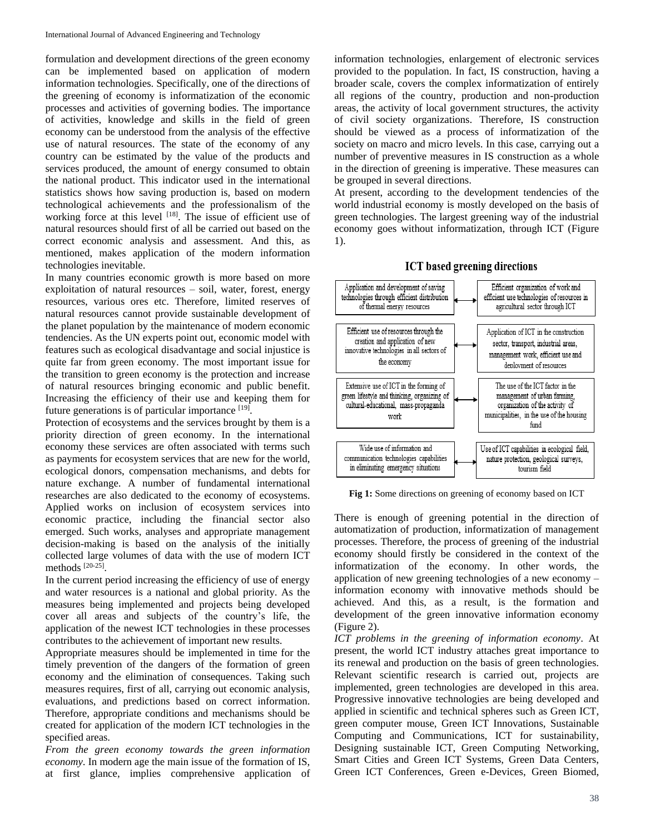formulation and development directions of the green economy can be implemented based on application of modern information technologies. Specifically, one of the directions of the greening of economy is informatization of the economic processes and activities of governing bodies. The importance of activities, knowledge and skills in the field of green economy can be understood from the analysis of the effective use of natural resources. The state of the economy of any country can be estimated by the value of the products and services produced, the amount of energy consumed to obtain the national product. This indicator used in the international statistics shows how saving production is, based on modern technological achievements and the professionalism of the working force at this level  $[18]$ . The issue of efficient use of natural resources should first of all be carried out based on the correct economic analysis and assessment. And this, as mentioned, makes application of the modern information technologies inevitable.

In many countries economic growth is more based on more exploitation of natural resources – soil, water, forest, energy resources, various ores etc. Therefore, limited reserves of natural resources cannot provide sustainable development of the planet population by the maintenance of modern economic tendencies. As the UN experts point out, economic model with features such as ecological disadvantage and social injustice is quite far from green economy. The most important issue for the transition to green economy is the protection and increase of natural resources bringing economic and public benefit. Increasing the efficiency of their use and keeping them for future generations is of particular importance [19].

Protection of ecosystems and the services brought by them is a priority direction of green economy. In the international economy these services are often associated with terms such as payments for ecosystem services that are new for the world, ecological donors, compensation mechanisms, and debts for nature exchange. A number of fundamental international researches are also dedicated to the economy of ecosystems. Applied works on inclusion of ecosystem services into economic practice, including the financial sector also emerged. Such works, analyses and appropriate management decision-making is based on the analysis of the initially collected large volumes of data with the use of modern ICT methods<sup>[20-25]</sup>.

In the current period increasing the efficiency of use of energy and water resources is a national and global priority. As the measures being implemented and projects being developed cover all areas and subjects of the country's life, the application of the newest ICT technologies in these processes contributes to the achievement of important new results.

Appropriate measures should be implemented in time for the timely prevention of the dangers of the formation of green economy and the elimination of consequences. Taking such measures requires, first of all, carrying out economic analysis, evaluations, and predictions based on correct information. Therefore, appropriate conditions and mechanisms should be created for application of the modern ICT technologies in the specified areas.

*From the green economy towards the green information economy*. In modern age the main issue of the formation of IS, at first glance, implies comprehensive application of information technologies, enlargement of electronic services provided to the population. In fact, IS construction, having a broader scale, covers the complex informatization of entirely all regions of the country, production and non-production areas, the activity of local government structures, the activity of civil society organizations. Therefore, IS construction should be viewed as a process of informatization of the society on macro and micro levels. In this case, carrying out a number of preventive measures in IS construction as a whole in the direction of greening is imperative. These measures can be grouped in several directions.

At present, according to the development tendencies of the world industrial economy is mostly developed on the basis of green technologies. The largest greening way of the industrial economy goes without informatization, through ICT (Figure 1).





**Fig 1:** Some directions on greening of economy based on ICT

There is enough of greening potential in the direction of automatization of production, informatization of management processes. Therefore, the process of greening of the industrial economy should firstly be considered in the context of the informatization of the economy. In other words, the application of new greening technologies of a new economy – information economy with innovative methods should be achieved. And this, as a result, is the formation and development of the green innovative information economy (Figure 2).

*ICT problems in the greening of information economy*. At present, the world ICT industry attaches great importance to its renewal and production on the basis of green technologies. Relevant scientific research is carried out, projects are implemented, green technologies are developed in this area. Progressive innovative technologies are being developed and applied in scientific and technical spheres such as Green ICT, green computer mouse, Green ICT Innovations, Sustainable Computing and Communications, ICT for sustainability, Designing sustainable ICT, Green Computing Networking, Smart Cities and Green ICT Systems, Green Data Centers, Green ICT Conferences, Green e-Devices, Green Biomed,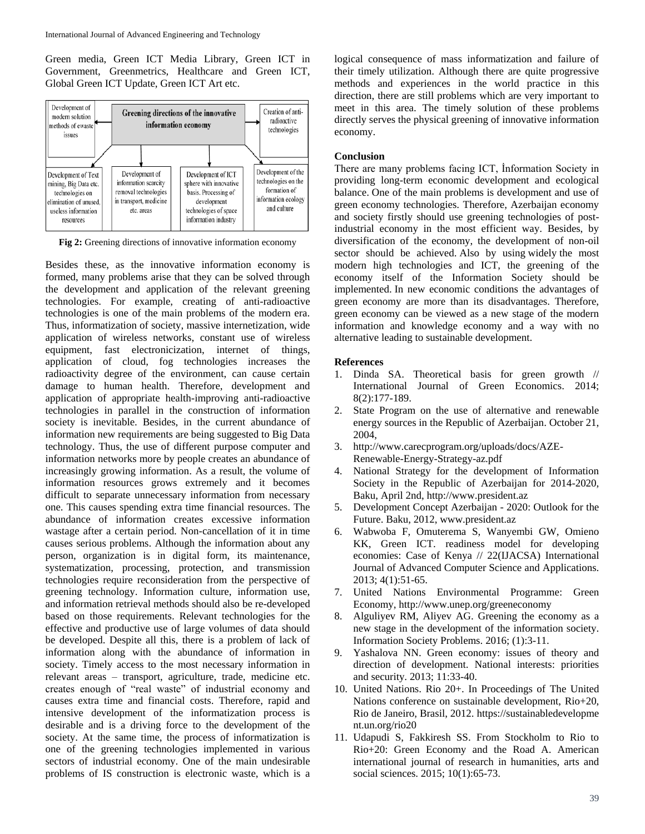Green media, Green ICT Media Library, Green ICT in Government, Greenmetrics, Healthcare and Green ICT, Global Green ICT Update, Green ICT Art etc.



**Fig 2:** Greening directions of innovative information economy

Besides these, as the innovative information economy is formed, many problems arise that they can be solved through the development and application of the relevant greening technologies. For example, creating of anti-radioactive technologies is one of the main problems of the modern era. Thus, informatization of society, massive internetization, wide application of wireless networks, constant use of wireless equipment, fast electronicization, internet of things, application of cloud, fog technologies increases the radioactivity degree of the environment, can cause certain damage to human health. Therefore, development and application of appropriate health-improving anti-radioactive technologies in parallel in the construction of information society is inevitable. Besides, in the current abundance of information new requirements are being suggested to Big Data technology. Thus, the use of different purpose computer and information networks more by people creates an abundance of increasingly growing information. As a result, the volume of information resources grows extremely and it becomes difficult to separate unnecessary information from necessary one. This causes spending extra time financial resources. The abundance of information creates excessive information wastage after a certain period. Non-cancellation of it in time causes serious problems. Although the information about any person, organization is in digital form, its maintenance, systematization, processing, protection, and transmission technologies require reconsideration from the perspective of greening technology. Information culture, information use, and information retrieval methods should also be re-developed based on those requirements. Relevant technologies for the effective and productive use of large volumes of data should be developed. Despite all this, there is a problem of lack of information along with the abundance of information in society. Timely access to the most necessary information in relevant areas – transport, agriculture, trade, medicine etc. creates enough of "real waste" of industrial economy and causes extra time and financial costs. Therefore, rapid and intensive development of the informatization process is desirable and is a driving force to the development of the society. At the same time, the process of informatization is one of the greening technologies implemented in various sectors of industrial economy. One of the main undesirable problems of IS construction is electronic waste, which is a

logical consequence of mass informatization and failure of their timely utilization. Although there are quite progressive methods and experiences in the world practice in this direction, there are still problems which are very important to meet in this area. The timely solution of these problems directly serves the physical greening of innovative information economy.

## **Conclusion**

There are many problems facing ICT, İnformation Society in providing long-term economic development and ecological balance. One of the main problems is development and use of green economy technologies. Therefore, Azerbaijan economy and society firstly should use greening technologies of postindustrial economy in the most efficient way. Besides, by diversification of the economy, the development of non-oil sector should be achieved. Also by using widely the most modern high technologies and ICT, the greening of the economy itself of the Information Society should be implemented. In new economic conditions the advantages of green economy are more than its disadvantages. Therefore, green economy can be viewed as a new stage of the modern information and knowledge economy and a way with no alternative leading to sustainable development.

#### **References**

- 1. Dinda SA. Theoretical basis for green growth // International Journal of Green Economics. 2014; 8(2):177-189.
- 2. State Program on the use of alternative and renewable energy sources in the Republic of Azerbaijan. October 21, 2004,
- 3. http://www.carecprogram.org/uploads/docs/AZE-Renewable-Energy-Strategy-az.pdf
- 4. National Strategy for the development of Information Society in the Republic of Azerbaijan for 2014-2020, Baku, April 2nd, http://www.president.az
- 5. Development Concept Azerbaijan 2020: Outlook for the Future. Baku, 2012, www.president.az
- 6. Wabwoba F, Omuterema S, Wanyembi GW, Omieno KK, Green ICT. readiness model for developing economies: Case of Kenya // 22(IJACSA) International Journal of Advanced Computer Science and Applications. 2013; 4(1):51-65.
- 7. United Nations Environmental Programme: Green Economy, http://www.unep.org/greeneconomy
- 8. Alguliyev RM, Aliyev AG. Greening the economy as a new stage in the development of the information society. Information Society Problems. 2016; (1):3-11.
- 9. Yashalova NN. Green economy: issues of theory and direction of development. National interests: priorities and security. 2013; 11:33-40.
- 10. United Nations. Rio 20+. In Proceedings of The United Nations conference on sustainable development, Rio+20, Rio de Janeiro, Brasil, 2012. https://sustainabledevelopme nt.un.org/rio20
- 11. Udapudi S, Fakkiresh SS. From Stockholm to Rio to Rio+20: Green Economy and the Road A. American international journal of research in humanities, arts and social sciences. 2015; 10(1):65-73.